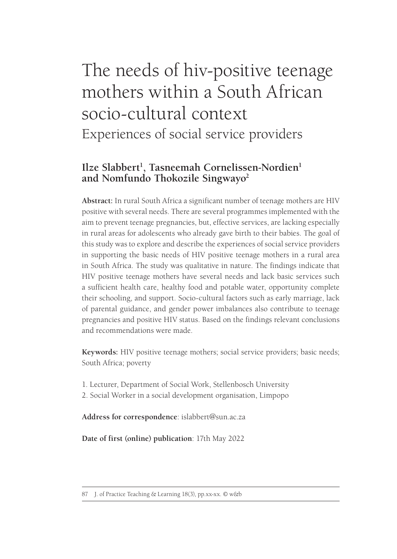# The needs of hiv-positive teenage mothers within a South African socio-cultural context Experiences of social service providers

## Ilze Slabbert<sup>1</sup>, Tasneemah Cornelissen-Nordien<sup>1</sup> **and Nomfundo Thokozile Singwayo2**

**Abstract:** In rural South Africa a significant number of teenage mothers are HIV positive with several needs. There are several programmes implemented with the aim to prevent teenage pregnancies, but, effective services, are lacking especially in rural areas for adolescents who already gave birth to their babies. The goal of this study was to explore and describe the experiences of social service providers in supporting the basic needs of HIV positive teenage mothers in a rural area in South Africa. The study was qualitative in nature. The findings indicate that HIV positive teenage mothers have several needs and lack basic services such a sufficient health care, healthy food and potable water, opportunity complete their schooling, and support. Socio-cultural factors such as early marriage, lack of parental guidance, and gender power imbalances also contribute to teenage pregnancies and positive HIV status. Based on the findings relevant conclusions and recommendations were made.

**Keywords:** HIV positive teenage mothers; social service providers; basic needs; South Africa; poverty

- 1. Lecturer, Department of Social Work, Stellenbosch University
- 2. Social Worker in a social development organisation, Limpopo

**Address for correspondence**: islabbert@sun.ac.za

**Date of first (online) publication**: 17th May 2022

<sup>87</sup> J. of Practice Teaching & Learning 18(3), pp.xx-xx. © w&b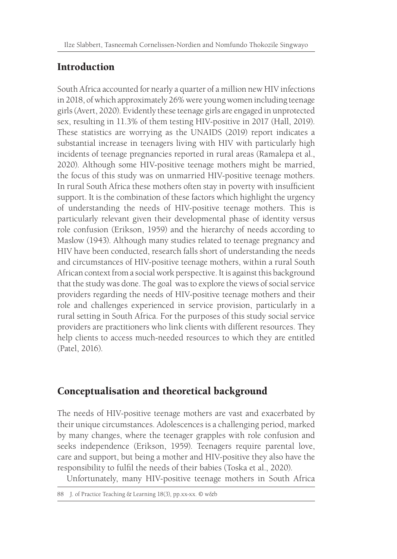## **Introduction**

South Africa accounted for nearly a quarter of a million new HIV infections in 2018, of which approximately 26% were young women including teenage girls (Avert, 2020). Evidently these teenage girls are engaged in unprotected sex, resulting in 11.3% of them testing HIV-positive in 2017 (Hall, 2019). These statistics are worrying as the UNAIDS (2019) report indicates a substantial increase in teenagers living with HIV with particularly high incidents of teenage pregnancies reported in rural areas (Ramalepa et al., 2020). Although some HIV-positive teenage mothers might be married, the focus of this study was on unmarried HIV-positive teenage mothers. In rural South Africa these mothers often stay in poverty with insufficient support. It is the combination of these factors which highlight the urgency of understanding the needs of HIV-positive teenage mothers. This is particularly relevant given their developmental phase of identity versus role confusion (Erikson, 1959) and the hierarchy of needs according to Maslow (1943). Although many studies related to teenage pregnancy and HIV have been conducted, research falls short of understanding the needs and circumstances of HIV-positive teenage mothers, within a rural South African context from a social work perspective. It is against this background that the study was done. The goal was to explore the views of social service providers regarding the needs of HIV-positive teenage mothers and their role and challenges experienced in service provision, particularly in a rural setting in South Africa. For the purposes of this study social service providers are practitioners who link clients with different resources. They help clients to access much-needed resources to which they are entitled (Patel, 2016).

## Conceptualisation and theoretical background

The needs of HIV-positive teenage mothers are vast and exacerbated by their unique circumstances. Adolescences is a challenging period, marked by many changes, where the teenager grapples with role confusion and seeks independence (Erikson, 1959). Teenagers require parental love, care and support, but being a mother and HIV-positive they also have the responsibility to fulfil the needs of their babies (Toska et al., 2020).

Unfortunately, many HIV-positive teenage mothers in South Africa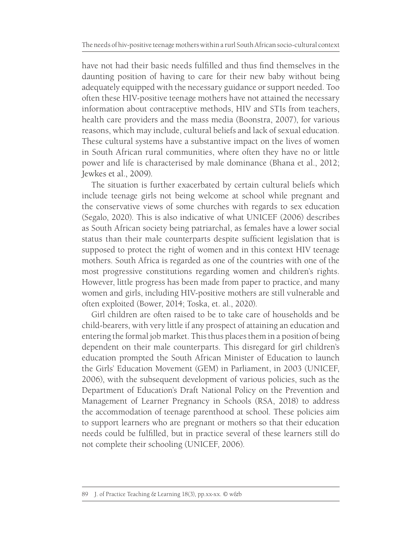have not had their basic needs fulfilled and thus find themselves in the daunting position of having to care for their new baby without being adequately equipped with the necessary guidance or support needed. Too often these HIV-positive teenage mothers have not attained the necessary information about contraceptive methods, HIV and STIs from teachers, health care providers and the mass media (Boonstra, 2007), for various reasons, which may include, cultural beliefs and lack of sexual education. These cultural systems have a substantive impact on the lives of women in South African rural communities, where often they have no or little power and life is characterised by male dominance (Bhana et al., 2012; Jewkes et al., 2009).

The situation is further exacerbated by certain cultural beliefs which include teenage girls not being welcome at school while pregnant and the conservative views of some churches with regards to sex education (Segalo, 2020). This is also indicative of what UNICEF (2006) describes as South African society being patriarchal, as females have a lower social status than their male counterparts despite sufficient legislation that is supposed to protect the right of women and in this context HIV teenage mothers. South Africa is regarded as one of the countries with one of the most progressive constitutions regarding women and children's rights. However, little progress has been made from paper to practice, and many women and girls, including HIV-positive mothers are still vulnerable and often exploited (Bower, 2014; Toska, et. al., 2020).

Girl children are often raised to be to take care of households and be child-bearers, with very little if any prospect of attaining an education and entering the formal job market. This thus places them in a position of being dependent on their male counterparts. This disregard for girl children's education prompted the South African Minister of Education to launch the Girls' Education Movement (GEM) in Parliament, in 2003 (UNICEF, 2006), with the subsequent development of various policies, such as the Department of Education's Draft National Policy on the Prevention and Management of Learner Pregnancy in Schools (RSA, 2018) to address the accommodation of teenage parenthood at school. These policies aim to support learners who are pregnant or mothers so that their education needs could be fulfilled, but in practice several of these learners still do not complete their schooling (UNICEF, 2006).

<sup>89</sup> J. of Practice Teaching & Learning 18(3), pp.xx-xx. © w&b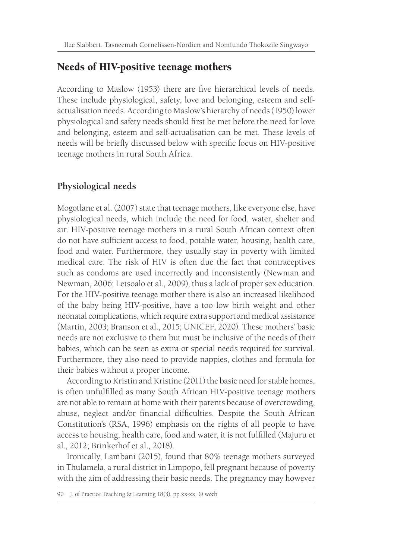## Needs of HIV-positive teenage mothers

According to Maslow (1953) there are five hierarchical levels of needs. These include physiological, safety, love and belonging, esteem and selfactualisation needs. According to Maslow's hierarchy of needs (1950) lower physiological and safety needs should first be met before the need for love and belonging, esteem and self-actualisation can be met. These levels of needs will be briefly discussed below with specific focus on HIV-positive teenage mothers in rural South Africa.

## **Physiological needs**

Mogotlane et al. (2007) state that teenage mothers, like everyone else, have physiological needs, which include the need for food, water, shelter and air. HIV-positive teenage mothers in a rural South African context often do not have sufficient access to food, potable water, housing, health care, food and water. Furthermore, they usually stay in poverty with limited medical care. The risk of HIV is often due the fact that contraceptives such as condoms are used incorrectly and inconsistently (Newman and Newman, 2006; Letsoalo et al., 2009), thus a lack of proper sex education. For the HIV-positive teenage mother there is also an increased likelihood of the baby being HIV-positive, have a too low birth weight and other neonatal complications, which require extra support and medical assistance (Martin, 2003; Branson et al., 2015; UNICEF, 2020). These mothers' basic needs are not exclusive to them but must be inclusive of the needs of their babies, which can be seen as extra or special needs required for survival. Furthermore, they also need to provide nappies, clothes and formula for their babies without a proper income.

According to Kristin and Kristine (2011) the basic need for stable homes, is often unfulfilled as many South African HIV-positive teenage mothers are not able to remain at home with their parents because of overcrowding, abuse, neglect and/or financial difficulties. Despite the South African Constitution's (RSA, 1996) emphasis on the rights of all people to have access to housing, health care, food and water, it is not fulfilled (Majuru et al., 2012; Brinkerhof et al., 2018).

Ironically, Lambani (2015), found that 80% teenage mothers surveyed in Thulamela, a rural district in Limpopo, fell pregnant because of poverty with the aim of addressing their basic needs. The pregnancy may however

```
90 J. of Practice Teaching & Learning 18(3), pp.xx-xx. © w&b
```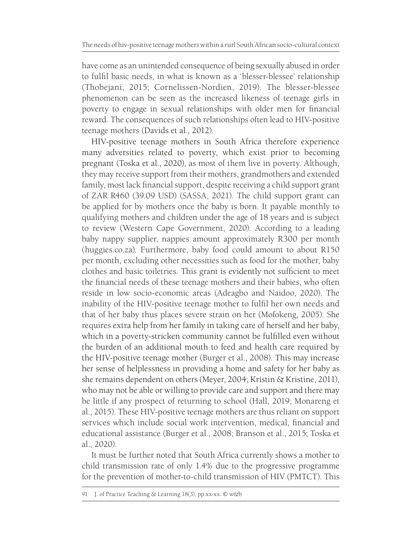have come as an unintended consequence of being sexually abused in order to fulfil basic needs, in what is known as a 'blesser-blessee' relationship (Thobejani, 2015; Cornelissen-Nordien, 2019). The blesser-blessee phenomenon can be seen as the increased likeness of teenage girls in poverty to engage in sexual relationships with older men for financial reward. The consequences of such relationships often lead to HIV-positive teenage mothers (Davids et al., 2012).

HIV-positive teenage mothers in South Africa therefore experience many adversities related to poverty, which exist prior to becoming pregnant (Toska et al., 2020), as most of them live in poverty. Although, they may receive support from their mothers, grandmothers and extended family, most lack financial support, despite receiving a child support grant of ZAR R460 (39.09 USD) (SASSA, 2021). The child support grant can be applied for by mothers once the baby is born. It payable monthly to qualifying mothers and children under the age of 18 years and is subject to review (Western Cape Government, 2020). According to a leading baby nappy supplier, nappies amount approximately R300 per month (huggies.co.za). Furthermore, baby food could amount to about R150 per month, excluding other necessities such as food for the mother, baby clothes and basic toiletries. This grant is evidently not sufficient to meet the financial needs of these teenage mothers and their babies, who often reside in low socio-economic areas (Adeagbo and Naidoo, 2020). The inability of the HIV-positive teenage mother to fulfil her own needs and that of her baby thus places severe strain on her (Mofokeng, 2005). She requires extra help from her family in taking care of herself and her baby, which in a poverty-stricken community cannot be fulfilled even without the burden of an additional mouth to feed and health care required by the HIV-positive teenage mother (Burger et al., 2008). This may increase her sense of helplessness in providing a home and safety for her baby as she remains dependent on others (Meyer, 2004; Kristin & Kristine, 2011), who may not be able or willing to provide care and support and there may be little if any prospect of returning to school (Hall, 2019; Monareng et al., 2015). These HIV-positive teenage mothers are thus reliant on support services which include social work intervention, medical, financial and educational assistance (Burger et al., 2008; Branson et al., 2015; Toska et al., 2020).

It must be further noted that South Africa currently shows a mother to child transmission rate of only 1.4% due to the progressive programme for the prevention of mother-to-child transmission of HIV (PMTCT). This

<sup>91</sup> J. of Practice Teaching & Learning 18(3), pp.xx-xx. © w&b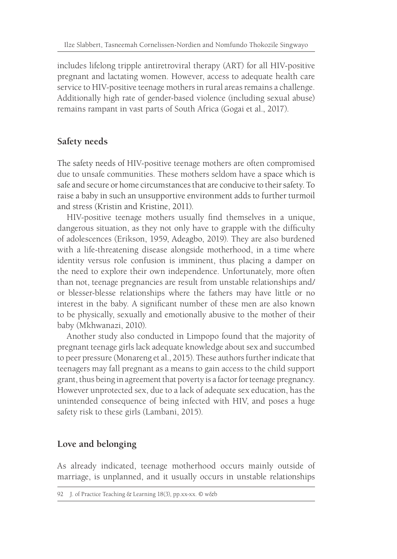includes lifelong tripple antiretroviral therapy (ART) for all HIV-positive pregnant and lactating women. However, access to adequate health care service to HIV-positive teenage mothers in rural areas remains a challenge. Additionally high rate of gender-based violence (including sexual abuse) remains rampant in vast parts of South Africa (Gogai et al., 2017).

## **Safety needs**

The safety needs of HIV-positive teenage mothers are often compromised due to unsafe communities. These mothers seldom have a space which is safe and secure or home circumstances that are conducive to their safety. To raise a baby in such an unsupportive environment adds to further turmoil and stress (Kristin and Kristine, 2011).

HIV-positive teenage mothers usually find themselves in a unique, dangerous situation, as they not only have to grapple with the difficulty of adolescences (Erikson, 1959, Adeagbo, 2019). They are also burdened with a life-threatening disease alongside motherhood, in a time where identity versus role confusion is imminent, thus placing a damper on the need to explore their own independence. Unfortunately, more often than not, teenage pregnancies are result from unstable relationships and/ or blesser-blesse relationships where the fathers may have little or no interest in the baby. A significant number of these men are also known to be physically, sexually and emotionally abusive to the mother of their baby (Mkhwanazi, 2010).

Another study also conducted in Limpopo found that the majority of pregnant teenage girls lack adequate knowledge about sex and succumbed to peer pressure (Monareng et al., 2015). These authors further indicate that teenagers may fall pregnant as a means to gain access to the child support grant, thus being in agreement that poverty is a factor for teenage pregnancy. However unprotected sex, due to a lack of adequate sex education, has the unintended consequence of being infected with HIV, and poses a huge safety risk to these girls (Lambani, 2015).

## **Love and belonging**

As already indicated, teenage motherhood occurs mainly outside of marriage, is unplanned, and it usually occurs in unstable relationships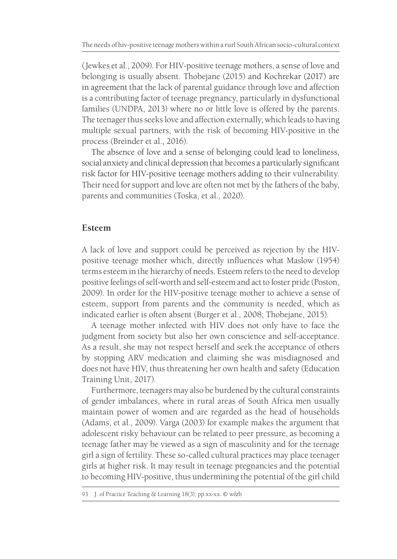(Jewkes et al., 2009). For HIV-positive teenage mothers, a sense of love and belonging is usually absent. Thobejane (2015) and Kochrekar (2017) are in agreement that the lack of parental guidance through love and affection is a contributing factor of teenage pregnancy, particularly in dysfunctional families (UNDPA, 2013) where no or little love is offered by the parents. The teenager thus seeks love and affection externally, which leads to having multiple sexual partners, with the risk of becoming HIV-positive in the process (Breinder et al., 2016).

The absence of love and a sense of belonging could lead to loneliness, social anxiety and clinical depression that becomes a particularly significant risk factor for HIV-positive teenage mothers adding to their vulnerability. Their need for support and love are often not met by the fathers of the baby, parents and communities (Toska, et al., 2020).

#### **Esteem**

A lack of love and support could be perceived as rejection by the HIVpositive teenage mother which, directly influences what Maslow (1954) terms esteem in the hierarchy of needs. Esteem refers to the need to develop positive feelings of self-worth and self-esteem and act to foster pride (Poston, 2009). In order for the HIV-positive teenage mother to achieve a sense of esteem, support from parents and the community is needed, which as indicated earlier is often absent (Burger et al., 2008; Thobejane, 2015).

A teenage mother infected with HIV does not only have to face the judgment from society but also her own conscience and self-acceptance. As a result, she may not respect herself and seek the acceptance of others by stopping ARV medication and claiming she was misdiagnosed and does not have HIV, thus threatening her own health and safety (Education Training Unit, 2017).

Furthermore, teenagers may also be burdened by the cultural constraints of gender imbalances, where in rural areas of South Africa men usually maintain power of women and are regarded as the head of households (Adams, et al., 2009). Varga (2003) for example makes the argument that adolescent risky behaviour can be related to peer pressure, as becoming a teenage father may be viewed as a sign of masculinity and for the teenage girl a sign of fertility. These so-called cultural practices may place teenager girls at higher risk. It may result in teenage pregnancies and the potential to becoming HIV-positive, thus undermining the potential of the girl child

<sup>93</sup> J. of Practice Teaching & Learning 18(3), pp.xx-xx. © w&b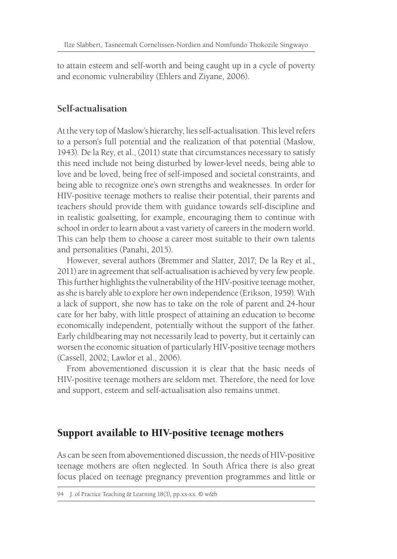to attain esteem and self-worth and being caught up in a cycle of poverty and economic vulnerability (Ehlers and Ziyane, 2006).

#### **Self-actualisation**

At the very top of Maslow's hierarchy, lies self-actualisation. This level refers to a person's full potential and the realization of that potential (Maslow, 1943). De la Rey, et al., (2011) state that circumstances necessary to satisfy this need include not being disturbed by lower-level needs, being able to love and be loved, being free of self-imposed and societal constraints, and being able to recognize one's own strengths and weaknesses. In order for HIV-positive teenage mothers to realise their potential, their parents and teachers should provide them with guidance towards self-discipline and in realistic goalsetting, for example, encouraging them to continue with school in order to learn about a vast variety of careers in the modern world. This can help them to choose a career most suitable to their own talents and personalities (Panahi, 2015).

However, several authors (Bremmer and Slatter, 2017; De la Rey et al., 2011) are in agreement that self-actualisation is achieved by very few people. This further highlights the vulnerability of the HIV-positive teenage mother, as she is barely able to explore her own independence (Erikson, 1959). With a lack of support, she now has to take on the role of parent and 24-hour care for her baby, with little prospect of attaining an education to become economically independent, potentially without the support of the father. Early childbearing may not necessarily lead to poverty, but it certainly can worsen the economic situation of particularly HIV-positive teenage mothers (Cassell, 2002; Lawlor et al., 2006).

From abovementioned discussion it is clear that the basic needs of HIV-positive teenage mothers are seldom met. Therefore, the need for love and support, esteem and self-actualisation also remains unmet.

## Support available to HIV-positive teenage mothers

As can be seen from abovementioned discussion, the needs of HIV-positive teenage mothers are often neglected. In South Africa there is also great focus placed on teenage pregnancy prevention programmes and little or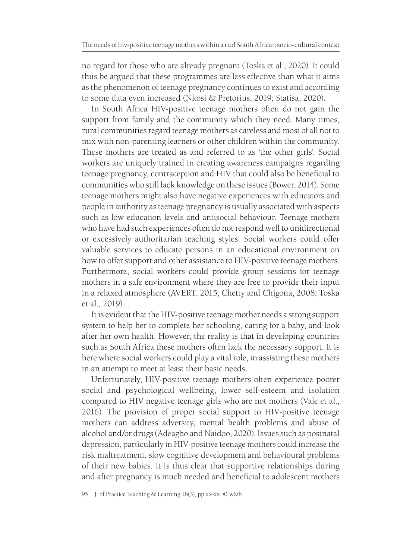no regard for those who are already pregnant (Toska et al., 2020). It could thus be argued that these programmes are less effective than what it aims as the phenomenon of teenage pregnancy continues to exist and according to some data even increased (Nkosi & Pretorius, 2019; Statisa, 2020).

In South Africa HIV-positive teenage mothers often do not gain the support from family and the community which they need. Many times, rural communities regard teenage mothers as careless and most of all not to mix with non-parenting learners or other children within the community. These mothers are treated as and referred to as 'the other girls'. Social workers are uniquely trained in creating awareness campaigns regarding teenage pregnancy, contraception and HIV that could also be beneficial to communities who still lack knowledge on these issues (Bower, 2014). Some teenage mothers might also have negative experiences with educators and people in authority as teenage pregnancy is usually associated with aspects such as low education levels and antisocial behaviour. Teenage mothers who have had such experiences often do not respond well to unidirectional or excessively authoritarian teaching styles. Social workers could offer valuable services to educate persons in an educational environment on how to offer support and other assistance to HIV-positive teenage mothers. Furthermore, social workers could provide group sessions for teenage mothers in a safe environment where they are free to provide their input in a relaxed atmosphere (AVERT, 2015; Chetty and Chigona, 2008; Toska et al., 2019).

It is evident that the HIV-positive teenage mother needs a strong support system to help her to complete her schooling, caring for a baby, and look after her own health. However, the reality is that in developing countries such as South Africa these mothers often lack the necessary support. It is here where social workers could play a vital role, in assisting these mothers in an attempt to meet at least their basic needs.

Unfortunately, HIV-positive teenage mothers often experience poorer social and psychological wellbeing, lower self-esteem and isolation compared to HIV negative teenage girls who are not mothers (Vale et al., 2016). The provision of proper social support to HIV-positive teenage mothers can address adversity, mental health problems and abuse of alcohol and/or drugs (Adeagbo and Naidoo, 2020). Issues such as postnatal depression, particularly in HIV-positive teenage mothers could increase the risk maltreatment, slow cognitive development and behavioural problems of their new babies. It is thus clear that supportive relationships during and after pregnancy is much needed and beneficial to adolescent mothers

<sup>95</sup> J. of Practice Teaching & Learning 18(3), pp.xx-xx. © w&b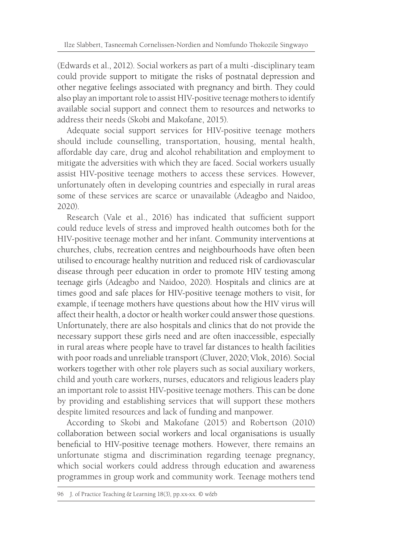(Edwards et al., 2012). Social workers as part of a multi -disciplinary team could provide support to mitigate the risks of postnatal depression and other negative feelings associated with pregnancy and birth. They could also play an important role to assist HIV-positive teenage mothers to identify available social support and connect them to resources and networks to address their needs (Skobi and Makofane, 2015).

Adequate social support services for HIV-positive teenage mothers should include counselling, transportation, housing, mental health, affordable day care, drug and alcohol rehabilitation and employment to mitigate the adversities with which they are faced. Social workers usually assist HIV-positive teenage mothers to access these services. However, unfortunately often in developing countries and especially in rural areas some of these services are scarce or unavailable (Adeagbo and Naidoo, 2020).

Research (Vale et al., 2016) has indicated that sufficient support could reduce levels of stress and improved health outcomes both for the HIV-positive teenage mother and her infant. Community interventions at churches, clubs, recreation centres and neighbourhoods have often been utilised to encourage healthy nutrition and reduced risk of cardiovascular disease through peer education in order to promote HIV testing among teenage girls (Adeagbo and Naidoo, 2020). Hospitals and clinics are at times good and safe places for HIV-positive teenage mothers to visit, for example, if teenage mothers have questions about how the HIV virus will affect their health, a doctor or health worker could answer those questions. Unfortunately, there are also hospitals and clinics that do not provide the necessary support these girls need and are often inaccessible, especially in rural areas where people have to travel far distances to health facilities with poor roads and unreliable transport (Cluver, 2020; Vlok, 2016). Social workers together with other role players such as social auxiliary workers, child and youth care workers, nurses, educators and religious leaders play an important role to assist HIV-positive teenage mothers. This can be done by providing and establishing services that will support these mothers despite limited resources and lack of funding and manpower.

According to Skobi and Makofane (2015) and Robertson (2010) collaboration between social workers and local organisations is usually beneficial to HIV-positive teenage mothers. However, there remains an unfortunate stigma and discrimination regarding teenage pregnancy, which social workers could address through education and awareness programmes in group work and community work. Teenage mothers tend

<sup>96</sup> J. of Practice Teaching & Learning 18(3), pp.xx-xx. © w&b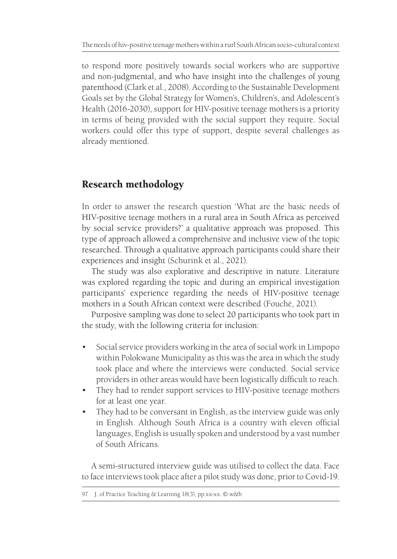to respond more positively towards social workers who are supportive and non-judgmental, and who have insight into the challenges of young parenthood (Clark et al., 2008). According to the Sustainable Development Goals set by the Global Strategy for Women's, Children's, and Adolescent's Health (2016-2030), support for HIV-positive teenage mothers is a priority in terms of being provided with the social support they require. Social workers could offer this type of support, despite several challenges as already mentioned.

# Research methodology

In order to answer the research question 'What are the basic needs of HIV-positive teenage mothers in a rural area in South Africa as perceived by social service providers?' a qualitative approach was proposed. This type of approach allowed a comprehensive and inclusive view of the topic researched. Through a qualitative approach participants could share their experiences and insight (Schurink et al., 2021).

The study was also explorative and descriptive in nature. Literature was explored regarding the topic and during an empirical investigation participants' experience regarding the needs of HIV-positive teenage mothers in a South African context were described (Fouché, 2021).

Purposive sampling was done to select 20 participants who took part in the study, with the following criteria for inclusion:

- Social service providers working in the area of social work in Limpopo within Polokwane Municipality as this was the area in which the study took place and where the interviews were conducted. Social service providers in other areas would have been logistically difficult to reach.
- They had to render support services to HIV-positive teenage mothers for at least one year.
- They had to be conversant in English, as the interview guide was only in English. Although South Africa is a country with eleven official languages, English is usually spoken and understood by a vast number of South Africans.

A semi-structured interview guide was utilised to collect the data. Face to face interviews took place after a pilot study was done, prior to Covid-19.

<sup>97</sup> J. of Practice Teaching & Learning 18(3), pp.xx-xx. © w&b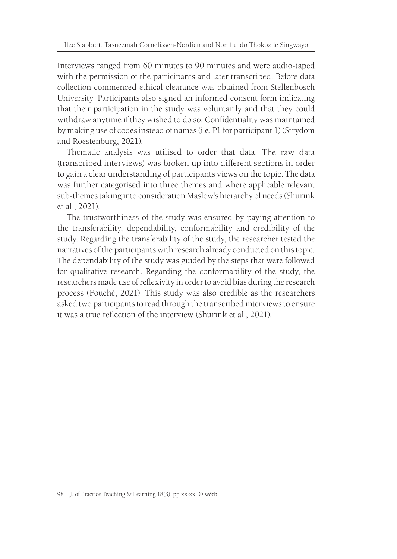Interviews ranged from 60 minutes to 90 minutes and were audio-taped with the permission of the participants and later transcribed. Before data collection commenced ethical clearance was obtained from Stellenbosch University. Participants also signed an informed consent form indicating that their participation in the study was voluntarily and that they could withdraw anytime if they wished to do so. Confidentiality was maintained by making use of codes instead of names (i.e. P1 for participant 1) (Strydom and Roestenburg, 2021).

Thematic analysis was utilised to order that data. The raw data (transcribed interviews) was broken up into different sections in order to gain a clear understanding of participants views on the topic. The data was further categorised into three themes and where applicable relevant sub-themes taking into consideration Maslow's hierarchy of needs (Shurink et al., 2021).

The trustworthiness of the study was ensured by paying attention to the transferability, dependability, conformability and credibility of the study. Regarding the transferability of the study, the researcher tested the narratives of the participants with research already conducted on this topic. The dependability of the study was guided by the steps that were followed for qualitative research. Regarding the conformability of the study, the researchers made use of reflexivity in order to avoid bias during the research process (Fouché, 2021). This study was also credible as the researchers asked two participants to read through the transcribed interviews to ensure it was a true reflection of the interview (Shurink et al., 2021).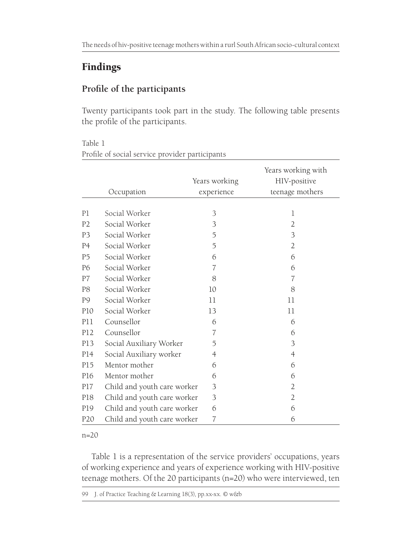# Findings

## **Profile of the participants**

Twenty participants took part in the study. The following table presents the profile of the participants.

Table 1 Profile of social service provider participants

|                 |                             | Years working  | Years working with<br>HIV-positive |
|-----------------|-----------------------------|----------------|------------------------------------|
|                 | Occupation                  | experience     | teenage mothers                    |
| P1              | Social Worker               | 3              | $\mathbf 1$                        |
| P <sub>2</sub>  | Social Worker               | 3              | $\overline{2}$                     |
| P <sub>3</sub>  | Social Worker               | 5              | 3                                  |
| P <sub>4</sub>  | Social Worker               | 5              | $\overline{2}$                     |
| P <sub>5</sub>  | Social Worker               | 6              | 6                                  |
| P6              | Social Worker               | 7              | 6                                  |
| P7              | Social Worker               | 8              | 7                                  |
| P8              | Social Worker               | 10             | 8                                  |
| P9              | Social Worker               | 11             | 11                                 |
| P <sub>10</sub> | Social Worker               | 13             | 11                                 |
| <b>P11</b>      | Counsellor                  | 6              | 6                                  |
| P12             | Counsellor                  | 7              | 6                                  |
| P13             | Social Auxiliary Worker     | 5              | 3                                  |
| P14             | Social Auxiliary worker     | 4              | $\overline{A}$                     |
| P15             | Mentor mother               | 6              | 6                                  |
| P16             | Mentor mother               | 6              | 6                                  |
| P17             | Child and youth care worker | 3              | $\overline{2}$                     |
| P18             | Child and youth care worker | 3              | 2                                  |
| P19             | Child and youth care worker | 6              | 6                                  |
| P <sub>20</sub> | Child and youth care worker | $\overline{7}$ | 6                                  |

#### n=20

Table 1 is a representation of the service providers' occupations, years of working experience and years of experience working with HIV-positive teenage mothers. Of the 20 participants (n=20) who were interviewed, ten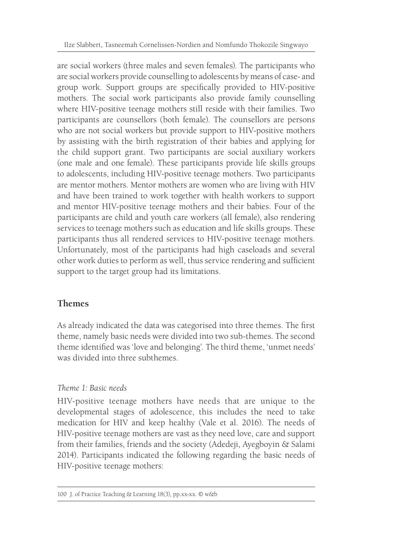are social workers (three males and seven females). The participants who are social workers provide counselling to adolescents by means of case- and group work. Support groups are specifically provided to HIV-positive mothers. The social work participants also provide family counselling where HIV-positive teenage mothers still reside with their families. Two participants are counsellors (both female). The counsellors are persons who are not social workers but provide support to HIV-positive mothers by assisting with the birth registration of their babies and applying for the child support grant. Two participants are social auxiliary workers (one male and one female). These participants provide life skills groups to adolescents, including HIV-positive teenage mothers. Two participants are mentor mothers. Mentor mothers are women who are living with HIV and have been trained to work together with health workers to support and mentor HIV-positive teenage mothers and their babies. Four of the participants are child and youth care workers (all female), also rendering services to teenage mothers such as education and life skills groups. These participants thus all rendered services to HIV-positive teenage mothers. Unfortunately, most of the participants had high caseloads and several other work duties to perform as well, thus service rendering and sufficient support to the target group had its limitations.

#### **Themes**

As already indicated the data was categorised into three themes. The first theme, namely basic needs were divided into two sub-themes. The second theme identified was 'love and belonging'. The third theme, 'unmet needs' was divided into three subthemes.

#### *Theme 1: Basic needs*

HIV-positive teenage mothers have needs that are unique to the developmental stages of adolescence, this includes the need to take medication for HIV and keep healthy (Vale et al. 2016). The needs of HIV-positive teenage mothers are vast as they need love, care and support from their families, friends and the society (Adedeji, Ayegboyin & Salami 2014). Participants indicated the following regarding the basic needs of HIV-positive teenage mothers: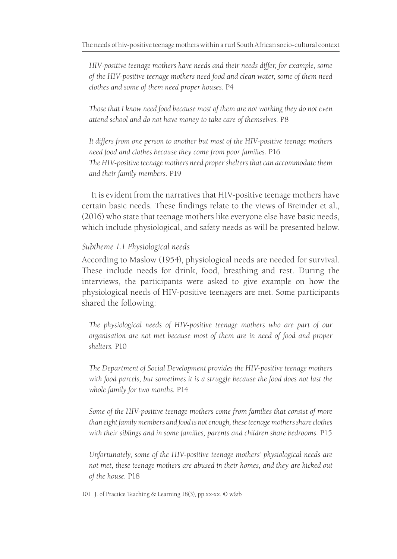*HIV-positive teenage mothers have needs and their needs differ, for example, some of the HIV-positive teenage mothers need food and clean water, some of them need clothes and some of them need proper houses.* P4

*Those that I know need food because most of them are not working they do not even attend school and do not have money to take care of themselves.* P8

*It differs from one person to another but most of the HIV-positive teenage mothers need food and clothes because they come from poor families.* P16 *The HIV-positive teenage mothers need proper shelters that can accommodate them and their family members.* P19

It is evident from the narratives that HIV-positive teenage mothers have certain basic needs. These findings relate to the views of Breinder et al., (2016) who state that teenage mothers like everyone else have basic needs, which include physiological, and safety needs as will be presented below.

#### *Subtheme 1.1 Physiological needs*

According to Maslow (1954), physiological needs are needed for survival. These include needs for drink, food, breathing and rest. During the interviews, the participants were asked to give example on how the physiological needs of HIV-positive teenagers are met. Some participants shared the following:

*The physiological needs of HIV-positive teenage mothers who are part of our organisation are not met because most of them are in need of food and proper shelters.* P10

*The Department of Social Development provides the HIV-positive teenage mothers with food parcels, but sometimes it is a struggle because the food does not last the whole family for two months.* P14

*Some of the HIV-positive teenage mothers come from families that consist of more than eight family members and food is not enough, these teenage mothers share clothes with their siblings and in some families, parents and children share bedrooms.* P15

*Unfortunately, some of the HIV-positive teenage mothers' physiological needs are not met, these teenage mothers are abused in their homes, and they are kicked out of the house.* P18

101 J. of Practice Teaching & Learning 18(3), pp.xx-xx. © w&b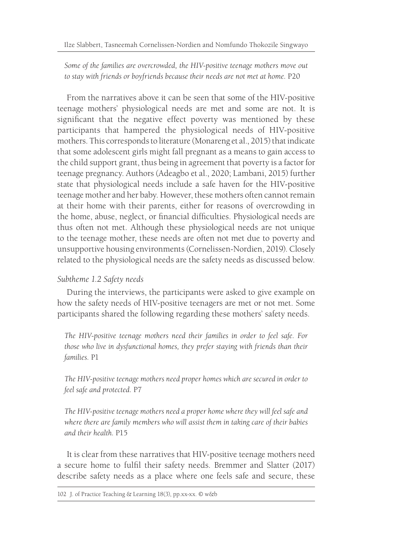*Some of the families are overcrowded, the HIV-positive teenage mothers move out to stay with friends or boyfriends because their needs are not met at home.* P20

From the narratives above it can be seen that some of the HIV-positive teenage mothers' physiological needs are met and some are not. It is significant that the negative effect poverty was mentioned by these participants that hampered the physiological needs of HIV-positive mothers. This corresponds to literature (Monareng et al., 2015) that indicate that some adolescent girls might fall pregnant as a means to gain access to the child support grant, thus being in agreement that poverty is a factor for teenage pregnancy. Authors (Adeagbo et al., 2020; Lambani, 2015) further state that physiological needs include a safe haven for the HIV-positive teenage mother and her baby. However, these mothers often cannot remain at their home with their parents, either for reasons of overcrowding in the home, abuse, neglect, or financial difficulties. Physiological needs are thus often not met. Although these physiological needs are not unique to the teenage mother, these needs are often not met due to poverty and unsupportive housing environments (Cornelissen-Nordien, 2019). Closely related to the physiological needs are the safety needs as discussed below.

#### *Subtheme 1.2 Safety needs*

During the interviews, the participants were asked to give example on how the safety needs of HIV-positive teenagers are met or not met. Some participants shared the following regarding these mothers' safety needs.

*The HIV-positive teenage mothers need their families in order to feel safe. For those who live in dysfunctional homes, they prefer staying with friends than their families.* P1

*The HIV-positive teenage mothers need proper homes which are secured in order to feel safe and protected.* P7

*The HIV-positive teenage mothers need a proper home where they will feel safe and where there are family members who will assist them in taking care of their babies and their health.* P15

It is clear from these narratives that HIV-positive teenage mothers need a secure home to fulfil their safety needs. Bremmer and Slatter (2017) describe safety needs as a place where one feels safe and secure, these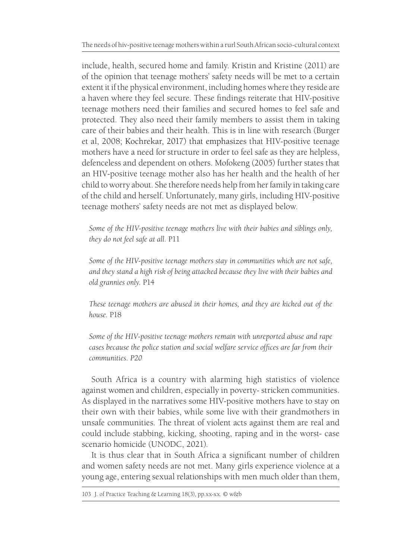include, health, secured home and family. Kristin and Kristine (2011) are of the opinion that teenage mothers' safety needs will be met to a certain extent it if the physical environment, including homes where they reside are a haven where they feel secure. These findings reiterate that HIV-positive teenage mothers need their families and secured homes to feel safe and protected. They also need their family members to assist them in taking care of their babies and their health. This is in line with research (Burger et al, 2008; Kochrekar, 2017) that emphasizes that HIV-positive teenage mothers have a need for structure in order to feel safe as they are helpless, defenceless and dependent on others. Mofokeng (2005) further states that an HIV-positive teenage mother also has her health and the health of her child to worry about. She therefore needs help from her family in taking care of the child and herself. Unfortunately, many girls, including HIV-positive teenage mothers' safety needs are not met as displayed below.

*Some of the HIV-positive teenage mothers live with their babies and siblings only, they do not feel safe at all.* P11

*Some of the HIV-positive teenage mothers stay in communities which are not safe, and they stand a high risk of being attacked because they live with their babies and old grannies only.* P14

*These teenage mothers are abused in their homes, and they are kicked out of the house.* P18

*Some of the HIV-positive teenage mothers remain with unreported abuse and rape cases because the police station and social welfare service offices are far from their communities. P20*

South Africa is a country with alarming high statistics of violence against women and children, especially in poverty- stricken communities. As displayed in the narratives some HIV-positive mothers have to stay on their own with their babies, while some live with their grandmothers in unsafe communities. The threat of violent acts against them are real and could include stabbing, kicking, shooting, raping and in the worst- case scenario homicide (UNODC, 2021).

It is thus clear that in South Africa a significant number of children and women safety needs are not met. Many girls experience violence at a young age, entering sexual relationships with men much older than them,

<sup>103</sup> J. of Practice Teaching & Learning 18(3), pp.xx-xx. © w&b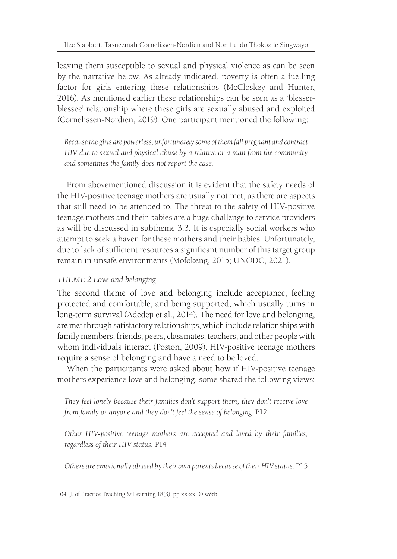leaving them susceptible to sexual and physical violence as can be seen by the narrative below. As already indicated, poverty is often a fuelling factor for girls entering these relationships (McCloskey and Hunter, 2016). As mentioned earlier these relationships can be seen as a 'blesserblessee' relationship where these girls are sexually abused and exploited (Cornelissen-Nordien, 2019). One participant mentioned the following:

*Because the girls are powerless, unfortunately some of them fall pregnant and contract HIV due to sexual and physical abuse by a relative or a man from the community and sometimes the family does not report the case.*

From abovementioned discussion it is evident that the safety needs of the HIV-positive teenage mothers are usually not met, as there are aspects that still need to be attended to. The threat to the safety of HIV-positive teenage mothers and their babies are a huge challenge to service providers as will be discussed in subtheme 3.3. It is especially social workers who attempt to seek a haven for these mothers and their babies. Unfortunately, due to lack of sufficient resources a significant number of this target group remain in unsafe environments (Mofokeng, 2015; UNODC, 2021).

#### *THEME 2 Love and belonging*

The second theme of love and belonging include acceptance, feeling protected and comfortable, and being supported, which usually turns in long-term survival (Adedeji et al., 2014). The need for love and belonging, are met through satisfactory relationships, which include relationships with family members, friends, peers, classmates, teachers, and other people with whom individuals interact (Poston, 2009). HIV-positive teenage mothers require a sense of belonging and have a need to be loved.

When the participants were asked about how if HIV-positive teenage mothers experience love and belonging, some shared the following views:

*They feel lonely because their families don't support them, they don't receive love from family or anyone and they don't feel the sense of belonging.* P12

*Other HIV-positive teenage mothers are accepted and loved by their families, regardless of their HIV status.* P14

*Others are emotionally abused by their own parents because of their HIV status.* P15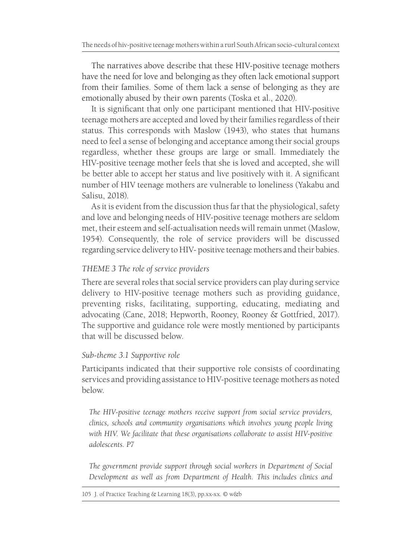The narratives above describe that these HIV-positive teenage mothers have the need for love and belonging as they often lack emotional support from their families. Some of them lack a sense of belonging as they are emotionally abused by their own parents (Toska et al., 2020).

It is significant that only one participant mentioned that HIV-positive teenage mothers are accepted and loved by their families regardless of their status. This corresponds with Maslow (1943), who states that humans need to feel a sense of belonging and acceptance among their social groups regardless, whether these groups are large or small. Immediately the HIV-positive teenage mother feels that she is loved and accepted, she will be better able to accept her status and live positively with it. A significant number of HIV teenage mothers are vulnerable to loneliness (Yakabu and Salisu, 2018).

As it is evident from the discussion thus far that the physiological, safety and love and belonging needs of HIV-positive teenage mothers are seldom met, their esteem and self-actualisation needs will remain unmet (Maslow, 1954). Consequently, the role of service providers will be discussed regarding service delivery to HIV- positive teenage mothers and their babies.

#### *THEME 3 The role of service providers*

There are several roles that social service providers can play during service delivery to HIV-positive teenage mothers such as providing guidance, preventing risks, facilitating, supporting, educating, mediating and advocating (Cane, 2018; Hepworth, Rooney, Rooney & Gottfried, 2017). The supportive and guidance role were mostly mentioned by participants that will be discussed below.

#### *Sub-theme 3.1 Supportive role*

Participants indicated that their supportive role consists of coordinating services and providing assistance to HIV-positive teenage mothers as noted below.

*The HIV-positive teenage mothers receive support from social service providers, clinics, schools and community organisations which involves young people living with HIV. We facilitate that these organisations collaborate to assist HIV-positive adolescents. P7*

*The government provide support through social workers in Department of Social Development as well as from Department of Health. This includes clinics and*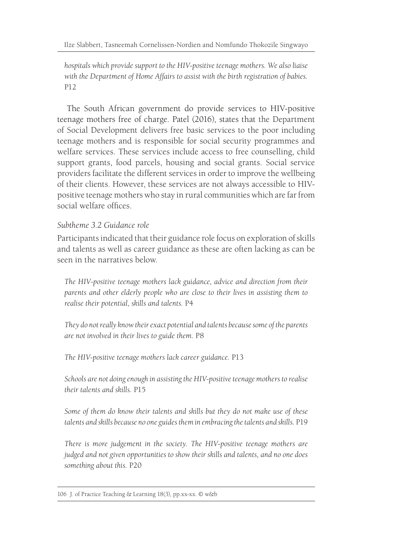*hospitals which provide support to the HIV-positive teenage mothers. We also liaise with the Department of Home Affairs to assist with the birth registration of babies.*  P12

The South African government do provide services to HIV-positive teenage mothers free of charge. Patel (2016), states that the Department of Social Development delivers free basic services to the poor including teenage mothers and is responsible for social security programmes and welfare services. These services include access to free counselling, child support grants, food parcels, housing and social grants. Social service providers facilitate the different services in order to improve the wellbeing of their clients. However, these services are not always accessible to HIVpositive teenage mothers who stay in rural communities which are far from social welfare offices.

#### *Subtheme 3.2 Guidance role*

Participants indicated that their guidance role focus on exploration of skills and talents as well as career guidance as these are often lacking as can be seen in the narratives below.

*The HIV-positive teenage mothers lack guidance, advice and direction from their parents and other elderly people who are close to their lives in assisting them to realise their potential, skills and talents.* P4

*They do not really know their exact potential and talents because some of the parents are not involved in their lives to guide them.* P8

*The HIV-positive teenage mothers lack career guidance.* P13

*Schools are not doing enough in assisting the HIV-positive teenage mothers to realise their talents and skills.* P15

*Some of them do know their talents and skills but they do not make use of these talents and skills because no one guides them in embracing the talents and skills.* P19

*There is more judgement in the society. The HIV-positive teenage mothers are judged and not given opportunities to show their skills and talents, and no one does something about this.* P20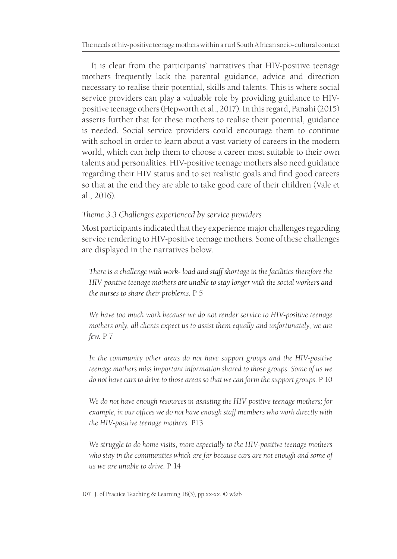It is clear from the participants' narratives that HIV-positive teenage mothers frequently lack the parental guidance, advice and direction necessary to realise their potential, skills and talents. This is where social service providers can play a valuable role by providing guidance to HIVpositive teenage others (Hepworth et al., 2017). In this regard, Panahi (2015) asserts further that for these mothers to realise their potential, guidance is needed. Social service providers could encourage them to continue with school in order to learn about a vast variety of careers in the modern world, which can help them to choose a career most suitable to their own talents and personalities. HIV-positive teenage mothers also need guidance regarding their HIV status and to set realistic goals and find good careers so that at the end they are able to take good care of their children (Vale et al., 2016).

#### *Theme 3.3 Challenges experienced by service providers*

Most participants indicated that they experience major challenges regarding service rendering to HIV-positive teenage mothers. Some of these challenges are displayed in the narratives below.

*There is a challenge with work- load and staff shortage in the facilities therefore the HIV-positive teenage mothers are unable to stay longer with the social workers and the nurses to share their problems.* P 5

*We have too much work because we do not render service to HIV-positive teenage mothers only, all clients expect us to assist them equally and unfortunately, we are few.* P 7

*In the community other areas do not have support groups and the HIV-positive teenage mothers miss important information shared to those groups. Some of us we do not have cars to drive to those areas so that we can form the support groups.* P 10

*We do not have enough resources in assisting the HIV-positive teenage mothers; for example, in our offices we do not have enough staff members who work directly with the HIV-positive teenage mothers.* P13

*We struggle to do home visits, more especially to the HIV-positive teenage mothers who stay in the communities which are far because cars are not enough and some of us we are unable to drive.* P 14

<sup>107</sup> J. of Practice Teaching & Learning 18(3), pp.xx-xx. © w&b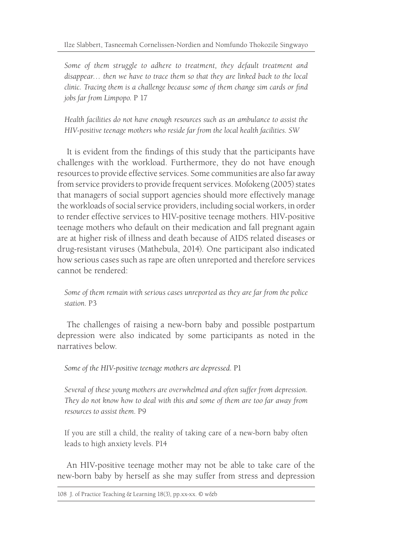*Some of them struggle to adhere to treatment, they default treatment and disappear… then we have to trace them so that they are linked back to the local clinic. Tracing them is a challenge because some of them change sim cards or find jobs far from Limpopo.* P 17

*Health facilities do not have enough resources such as an ambulance to assist the HIV-positive teenage mothers who reside far from the local health facilities. SW*

It is evident from the findings of this study that the participants have challenges with the workload. Furthermore, they do not have enough resources to provide effective services. Some communities are also far away from service providers to provide frequent services. Mofokeng (2005) states that managers of social support agencies should more effectively manage the workloads of social service providers, including social workers, in order to render effective services to HIV-positive teenage mothers. HIV-positive teenage mothers who default on their medication and fall pregnant again are at higher risk of illness and death because of AIDS related diseases or drug-resistant viruses (Mathebula, 2014). One participant also indicated how serious cases such as rape are often unreported and therefore services cannot be rendered:

*Some of them remain with serious cases unreported as they are far from the police station.* P3

The challenges of raising a new-born baby and possible postpartum depression were also indicated by some participants as noted in the narratives below.

*Some of the HIV-positive teenage mothers are depressed.* P1

*Several of these young mothers are overwhelmed and often suffer from depression. They do not know how to deal with this and some of them are too far away from resources to assist them.* P9

If you are still a child, the reality of taking care of a new-born baby often leads to high anxiety levels. P14

An HIV-positive teenage mother may not be able to take care of the new-born baby by herself as she may suffer from stress and depression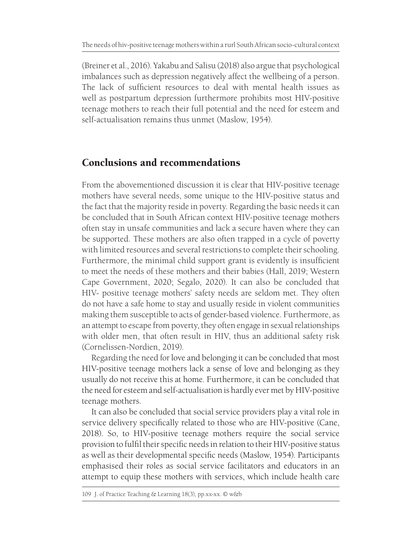(Breiner et al., 2016). Yakabu and Salisu (2018) also argue that psychological imbalances such as depression negatively affect the wellbeing of a person. The lack of sufficient resources to deal with mental health issues as well as postpartum depression furthermore prohibits most HIV-positive teenage mothers to reach their full potential and the need for esteem and self-actualisation remains thus unmet (Maslow, 1954).

## Conclusions and recommendations

From the abovementioned discussion it is clear that HIV-positive teenage mothers have several needs, some unique to the HIV-positive status and the fact that the majority reside in poverty. Regarding the basic needs it can be concluded that in South African context HIV-positive teenage mothers often stay in unsafe communities and lack a secure haven where they can be supported. These mothers are also often trapped in a cycle of poverty with limited resources and several restrictions to complete their schooling. Furthermore, the minimal child support grant is evidently is insufficient to meet the needs of these mothers and their babies (Hall, 2019; Western Cape Government, 2020; Segalo, 2020). It can also be concluded that HIV- positive teenage mothers' safety needs are seldom met. They often do not have a safe home to stay and usually reside in violent communities making them susceptible to acts of gender-based violence. Furthermore, as an attempt to escape from poverty, they often engage in sexual relationships with older men, that often result in HIV, thus an additional safety risk (Cornelissen-Nordien, 2019).

Regarding the need for love and belonging it can be concluded that most HIV-positive teenage mothers lack a sense of love and belonging as they usually do not receive this at home. Furthermore, it can be concluded that the need for esteem and self-actualisation is hardly ever met by HIV-positive teenage mothers.

It can also be concluded that social service providers play a vital role in service delivery specifically related to those who are HIV-positive (Cane, 2018). So, to HIV-positive teenage mothers require the social service provision to fulfil their specific needs in relation to their HIV-positive status as well as their developmental specific needs (Maslow, 1954). Participants emphasised their roles as social service facilitators and educators in an attempt to equip these mothers with services, which include health care

<sup>109</sup> J. of Practice Teaching & Learning 18(3), pp.xx-xx. © w&b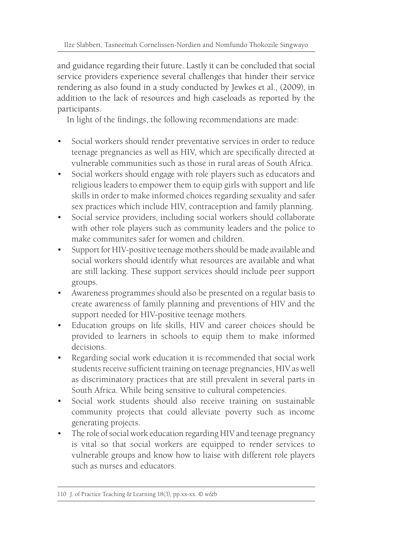and guidance regarding their future. Lastly it can be concluded that social service providers experience several challenges that hinder their service rendering as also found in a study conducted by Jewkes et al., (2009), in addition to the lack of resources and high caseloads as reported by the participants.

In light of the findings, the following recommendations are made:

- Social workers should render preventative services in order to reduce teenage pregnancies as well as HIV, which are specifically directed at vulnerable communities such as those in rural areas of South Africa.
- Social workers should engage with role players such as educators and religious leaders to empower them to equip girls with support and life skills in order to make informed choices regarding sexuality and safer sex practices which include HIV, contraception and family planning.
- Social service providers, including social workers should collaborate with other role players such as community leaders and the police to make communites safer for women and children.
- Support for HIV-positive teenage mothers should be made available and social workers should identify what resources are available and what are still lacking. These support services should include peer support groups.
- Awareness programmes should also be presented on a regular basis to create awareness of family planning and preventions of HIV and the support needed for HIV-positive teenage mothers.
- Education groups on life skills, HIV and career choices should be provided to learners in schools to equip them to make informed decisions.
- Regarding social work education it is recommended that social work students receive sufficient training on teenage pregnancies, HIV as well as discriminatory practices that are still prevalent in several parts in South Africa. While being sensitive to cultural competencies.
- Social work students should also receive training on sustainable community projects that could alleviate poverty such as income generating projects.
- The role of social work education regarding HIV and teenage pregnancy is vital so that social workers are equipped to render services to vulnerable groups and know how to liaise with different role players such as nurses and educators.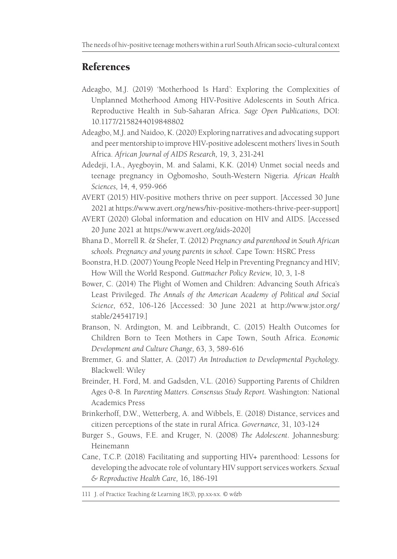## References

- Adeagbo, M.J. (2019) 'Motherhood Is Hard': Exploring the Complexities of Unplanned Motherhood Among HIV-Positive Adolescents in South Africa. Reproductive Health in Sub-Saharan Africa. *Sage Open Publications*, DOI: 10.1177/2158244019848802
- Adeagbo, M.J. and Naidoo, K. (2020) Exploring narratives and advocating support and peer mentorship to improve HIV-positive adolescent mothers' lives in South Africa. *African Journal of AIDS Research,* 19, 3, 231-241
- Adedeji, I.A., Ayegboyin, M. and Salami, K.K. (2014) Unmet social needs and teenage pregnancy in Ogbomosho, South-Western Nigeria*. African Health Sciences,* 14, 4, 959-966
- AVERT (2015) HIV-positive mothers thrive on peer support. [Accessed 30 June 2021 at https://www.avert.org/news/hiv-positive-mothers-thrive-peer-support]
- AVERT (2020) Global information and education on HIV and AIDS. [Accessed 20 June 2021 at https://www.avert.org/aids-2020]
- Bhana D., Morrell R. & Shefer, T. (2012) *Pregnancy and parenthood in South African schools*. *Pregnancy and young parents in school*. Cape Town: HSRC Press
- Boonstra, H.D. (2007) Young People Need Help in Preventing Pregnancy and HIV; How Will the World Respond. *Guttmacher Policy Review*, 10, 3, 1-8
- Bower, C. (2014) The Plight of Women and Children: Advancing South Africa's Least Privileged. *The Annals of the American Academy of Political and Social Science,* 652, 106-126 [Accessed: 30 June 2021 at http://www.jstor.org/ stable/24541719.]
- Branson, N. Ardington, M. and Leibbrandt, C. (2015) Health Outcomes for Children Born to Teen Mothers in Cape Town, South Africa. *Economic Development and Culture Change,* 63, 3, 589-616
- Bremmer, G. and Slatter, A. (2017) *An Introduction to Developmental Psychology.*  Blackwell: Wiley
- Breinder, H. Ford, M. and Gadsden, V.L. (2016) Supporting Parents of Children Ages 0-8*.* In *Parenting Matters. Consensus Study Report.* Washington: National Academics Press
- Brinkerhoff, D.W., Wetterberg, A. and Wibbels, E. (2018) Distance, services and citizen perceptions of the state in rural Africa. *Governance,* 31, 103-124
- Burger S., Gouws, F.E. and Kruger, N. (2008) *The Adolescent*. Johannesburg: Heinemann
- Cane, T.C.P. (2018) Facilitating and supporting HIV+ parenthood: Lessons for developing the advocate role of voluntary HIV support services workers. *Sexual & Reproductive Health Care,* 16, 186-191

111 J. of Practice Teaching & Learning 18(3), pp.xx-xx. © w&b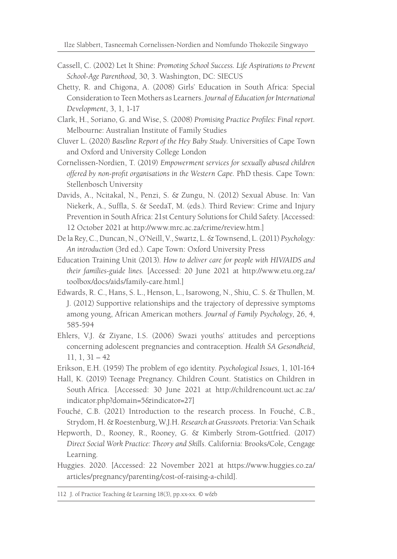Ilze Slabbert, Tasneemah Cornelissen-Nordien and Nomfundo Thokozile Singwayo

- Cassell, C. (2002) Let It Shine: *Promoting School Success. Life Aspirations to Prevent School-Age Parenthood,* 30, 3. Washington, DC: SIECUS
- Chetty, R. and Chigona, A. (2008) Girls' Education in South Africa: Special Consideration to Teen Mothers as Learners. *Journal of Education for International Development*, 3, 1, 1-17
- Clark, H., Soriano, G. and Wise, S. (2008) *Promising Practice Profiles: Final report.* Melbourne: Australian Institute of Family Studies
- Cluver L. (2020) *Baseline Report of the Hey Baby Study.* Universities of Cape Town and Oxford and University College London
- Cornelissen-Nordien, T. (2019) *Empowerment services for sexually abused children offered by non-profit organisations in the Western Cape.* PhD thesis. Cape Town: Stellenbosch University
- Davids, A., Ncitakal, N., Penzi, S. & Zungu, N. (2012) Sexual Abuse. In: Van Niekerk, A., Suffla, S. & SeedaT, M. (eds.). Third Review: Crime and Injury Prevention in South Africa: 21st Century Solutions for Child Safety. [Accessed: 12 October 2021 at http://www.mrc.ac.za/crime/review.htm.]
- De la Rey, C., Duncan, N., O'Neill, V., Swartz, L. & Townsend, L. (2011) *Psychology: An introduction* (3rd ed.). Cape Town: Oxford University Press
- Education Training Unit (2013). *How to deliver care for people with HIV/AIDS and their families-guide lines.* [Accessed: 20 June 2021 at http://www.etu.org.za/ toolbox/docs/aids/family-care.html.]
- Edwards, R. C., Hans, S. L., Henson, L., Isarowong, N., Shiu, C. S. & Thullen, M. J. (2012) Supportive relationships and the trajectory of depressive symptoms among young, African American mothers*. Journal of Family Psychology*, 26, 4, 585-594
- Ehlers, V.J. & Ziyane, I.S. (2006) Swazi youths' attitudes and perceptions concerning adolescent pregnancies and contraception. *Health SA Gesondheid*, 11, 1, 31 – 42
- Erikson, E.H. (1959) The problem of ego identity. *Psychological Issues,* 1, 101-164
- Hall, K. (2019) Teenage Pregnancy. Children Count. Statistics on Children in South Africa. [Accessed: 30 June 2021 at http://childrencount.uct.ac.za/ indicator.php?domain=5&indicator=27]
- Fouché, C.B. (2021) Introduction to the research process. In Fouché, C.B., Strydom, H. & Roestenburg, W.J.H. *Research at Grassroots.* Pretoria: Van Schaik
- Hepworth, D., Rooney, R., Rooney, G. & Kimberly Strom-Gottfried. (2017) *Direct Social Work Practice: Theory and Skills*. California: Brooks/Cole, Cengage Learning.
- Huggies. 2020. [Accessed: 22 November 2021 at https://www.huggies.co.za/ articles/pregnancy/parenting/cost-of-raising-a-child].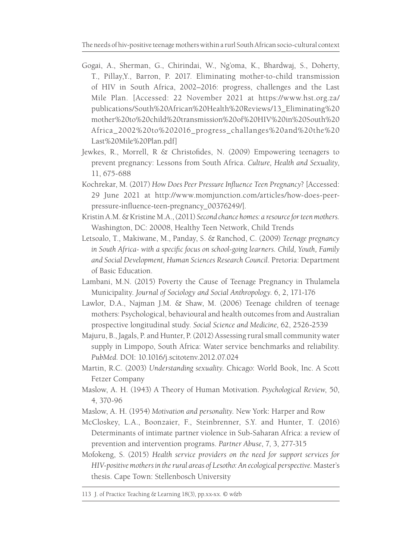- Gogai, A., Sherman, G., Chirindai, W., Ng'oma, K., Bhardwaj, S., Doherty, T., Pillay,Y., Barron, P. 2017. Eliminating mother-to-child transmission of HIV in South Africa, 2002–2016: progress, challenges and the Last Mile Plan. [Accessed: 22 November 2021 at https://www.hst.org.za/ publications/South%20African%20Health%20Reviews/13\_Eliminating%20 mother%20to%20child%20transmission%20of%20HIV%20in%20South%20 Africa\_2002%20to%202016\_progress\_challanges%20and%20the%20 Last%20Mile%20Plan.pdf]
- Jewkes, R., Morrell, R & Christofides, N. (2009) Empowering teenagers to prevent pregnancy: Lessons from South Africa. *Culture, Health and Sexuality*, 11, 675-688
- Kochrekar, M. (2017) *How Does Peer Pressure Influence Teen Pregnancy*? [Accessed: 29 June 2021 at http://www.momjunction.com/articles/how-does-peerpressure-influence-teen-pregnancy\_00376249/].
- Kristin A.M. & Kristine M.A., (2011) *Second chance homes: a resource for teen mothers.*  Washington, DC: 20008, Healthy Teen Network, Child Trends
- Letsoalo, T., Makiwane, M., Panday, S. & Ranchod, C. (2009) *Teenage pregnancy in South Africa- with a specific focus on school-going learners. Child, Youth, Family and Social Development, Human Sciences Research Council*. Pretoria: Department of Basic Education.
- Lambani, M.N. (2015) Poverty the Cause of Teenage Pregnancy in Thulamela Municipality. *Journal of Sociology and Social Anthropology*. 6, 2, 171-176
- Lawlor, D.A., Najman J.M. & Shaw, M. (2006) Teenage children of teenage mothers: Psychological, behavioural and health outcomes from and Australian prospective longitudinal study. *Social Science and Medicine,* 62, 2526-2539
- Majuru, B., Jagals, P. and Hunter, P. (2012) Assessing rural small community water supply in Limpopo, South Africa: Water service benchmarks and reliability. *PubMed.* DOI: 10.1016/j.scitotenv.2012.07.024
- Martin, R.C. (2003) *Understanding sexuality*. Chicago: World Book, Inc. A Scott Fetzer Company
- Maslow, A. H. (1943) A Theory of Human Motivation. *Psychological Review*, 50, 4, 370-96
- Maslow, A. H. (1954) *Motivation and personality.* New York: Harper and Row
- McCloskey, L.A., Boonzaier, F., Steinbrenner, S.Y. and Hunter, T. (2016) Determinants of intimate partner violence in Sub-Saharan Africa: a review of prevention and intervention programs. *Partner Abuse*, 7, 3, 277-315
- Mofokeng, S. (2015) *Health service providers on the need for support services for HIV-positive mothers in the rural areas of Lesotho: An ecological perspective.* Master's thesis. Cape Town: Stellenbosch University

113 J. of Practice Teaching & Learning 18(3), pp.xx-xx. © w&b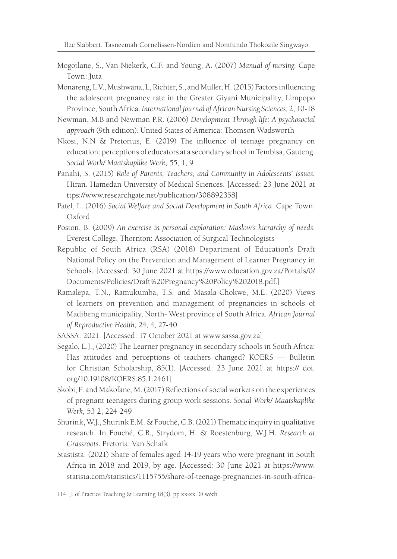- Mogotlane, S., Van Niekerk, C.F. and Young, A. (2007) *Manual of nursing.* Cape Town: Juta
- Monareng, L.V., Mushwana, L, Richter, S., and Muller, H. (2015) Factors influencing the adolescent pregnancy rate in the Greater Giyani Municipality, Limpopo Province, South Africa. *International Journal of African Nursing Sciences,* 2, 10-18
- Newman, M.B and Newman P.R. (2006) *Development Through life: A psychosocial approach* (9th edition)*.* United States of America: Thomson Wadsworth
- Nkosi, N.N & Pretorius, E. (2019) The influence of teenage pregnancy on education: perceptions of educators at a secondary school in Tembisa, Gauteng. *Social Work/ Maatskaplike Werk,* 55, 1, 9
- Panahi, S. (2015) *Role of Parents, Teachers, and Community in Adolescents` Issues.* Hiran. Hamedan University of Medical Sciences. [Accessed: 23 June 2021 at ttps://www.researchgate.net/publication/308892358]
- Patel, L. (2016) *Social Welfare and Social Development in South Africa*. Cape Town: Oxford
- Poston, B. (2009) *An exercise in personal exploration: Maslow's hierarchy of needs*. Everest College, Thornton: Association of Surgical Technologists
- Republic of South Africa (RSA) (2018) Department of Education's Draft National Policy on the Prevention and Management of Learner Pregnancy in Schools. [Accessed: 30 June 2021 at https://www.education.gov.za/Portals/0/ Documents/Policies/Draft%20Pregnancy%20Policy%202018.pdf.]
- Ramalepa, T.N., Ramukumba, T.S. and Masala-Chokwe, M.E. (2020) Views of learners on prevention and management of pregnancies in schools of Madibeng municipality, North- West province of South Africa. *African Journal of Reproductive Health,* 24, 4, 27-40
- SASSA. 2021. [Accessed: 17 October 2021 at www.sassa.gov.za]
- Segalo, L.J., (2020) The Learner pregnancy in secondary schools in South Africa: Has attitudes and perceptions of teachers changed? KOERS — Bulletin for Christian Scholarship, 85(1). [Accessed: 23 June 2021 at https:// doi. org/10.19108/KOERS.85.1.2461]
- Skobi, F. and Makofane, M. (2017) Reflections of social workers on the experiences of pregnant teenagers during group work sessions. *Social Work/ Maatskaplike Werk,* 53 2, 224-249
- Shurink, W.J., Shurink E.M. & Fouché, C.B. (2021) Thematic inquiry in qualitative research. In Fouché, C.B., Strydom, H. & Roestenburg, W.J.H. *Research at Grassroots.* Pretoria: Van Schaik
- Stastista. (2021) Share of females aged 14-19 years who were pregnant in South Africa in 2018 and 2019, by age. [Accessed: 30 June 2021 at https://www. statista.com/statistics/1115755/share-of-teenage-pregnancies-in-south-africa-